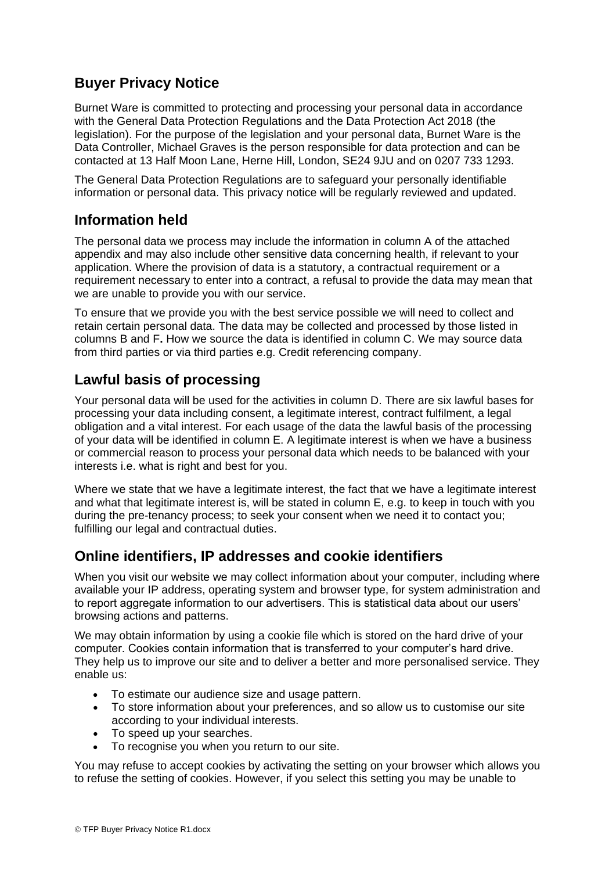# **Buyer Privacy Notice**

Burnet Ware is committed to protecting and processing your personal data in accordance with the General Data Protection Regulations and the Data Protection Act 2018 (the legislation). For the purpose of the legislation and your personal data, Burnet Ware is the Data Controller, Michael Graves is the person responsible for data protection and can be contacted at 13 Half Moon Lane, Herne Hill, London, SE24 9JU and on 0207 733 1293.

The General Data Protection Regulations are to safeguard your personally identifiable information or personal data. This privacy notice will be regularly reviewed and updated.

### **Information held**

The personal data we process may include the information in column A of the attached appendix and may also include other sensitive data concerning health, if relevant to your application. Where the provision of data is a statutory, a contractual requirement or a requirement necessary to enter into a contract, a refusal to provide the data may mean that we are unable to provide you with our service.

To ensure that we provide you with the best service possible we will need to collect and retain certain personal data. The data may be collected and processed by those listed in columns B and F**.** How we source the data is identified in column C. We may source data from third parties or via third parties e.g. Credit referencing company.

## **Lawful basis of processing**

Your personal data will be used for the activities in column D. There are six lawful bases for processing your data including consent, a legitimate interest, contract fulfilment, a legal obligation and a vital interest. For each usage of the data the lawful basis of the processing of your data will be identified in column E. A legitimate interest is when we have a business or commercial reason to process your personal data which needs to be balanced with your interests i.e. what is right and best for you.

Where we state that we have a legitimate interest, the fact that we have a legitimate interest and what that legitimate interest is, will be stated in column E, e.g. to keep in touch with you during the pre-tenancy process; to seek your consent when we need it to contact you; fulfilling our legal and contractual duties.

### **Online identifiers, IP addresses and cookie identifiers**

When you visit our website we may collect information about your computer, including where available your IP address, operating system and browser type, for system administration and to report aggregate information to our advertisers. This is statistical data about our users' browsing actions and patterns.

We may obtain information by using a cookie file which is stored on the hard drive of your computer. Cookies contain information that is transferred to your computer's hard drive. They help us to improve our site and to deliver a better and more personalised service. They enable us:

- To estimate our audience size and usage pattern.
- To store information about your preferences, and so allow us to customise our site according to your individual interests.
- To speed up your searches.
- To recognise you when you return to our site.

You may refuse to accept cookies by activating the setting on your browser which allows you to refuse the setting of cookies. However, if you select this setting you may be unable to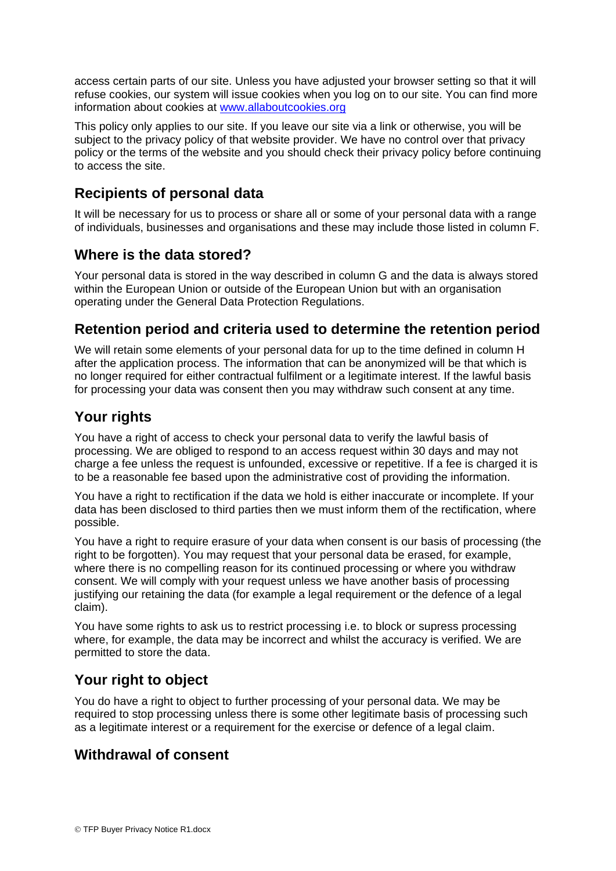access certain parts of our site. Unless you have adjusted your browser setting so that it will refuse cookies, our system will issue cookies when you log on to our site. You can find more information about cookies at [www.allaboutcookies.org](http://www.allaboutcookies.org/)

This policy only applies to our site. If you leave our site via a link or otherwise, you will be subject to the privacy policy of that website provider. We have no control over that privacy policy or the terms of the website and you should check their privacy policy before continuing to access the site.

# **Recipients of personal data**

It will be necessary for us to process or share all or some of your personal data with a range of individuals, businesses and organisations and these may include those listed in column F.

#### **Where is the data stored?**

Your personal data is stored in the way described in column G and the data is always stored within the European Union or outside of the European Union but with an organisation operating under the General Data Protection Regulations.

## **Retention period and criteria used to determine the retention period**

We will retain some elements of your personal data for up to the time defined in column H after the application process. The information that can be anonymized will be that which is no longer required for either contractual fulfilment or a legitimate interest. If the lawful basis for processing your data was consent then you may withdraw such consent at any time.

## **Your rights**

You have a right of access to check your personal data to verify the lawful basis of processing. We are obliged to respond to an access request within 30 days and may not charge a fee unless the request is unfounded, excessive or repetitive. If a fee is charged it is to be a reasonable fee based upon the administrative cost of providing the information.

You have a right to rectification if the data we hold is either inaccurate or incomplete. If your data has been disclosed to third parties then we must inform them of the rectification, where possible.

You have a right to require erasure of your data when consent is our basis of processing (the right to be forgotten). You may request that your personal data be erased, for example, where there is no compelling reason for its continued processing or where you withdraw consent. We will comply with your request unless we have another basis of processing justifying our retaining the data (for example a legal requirement or the defence of a legal claim).

You have some rights to ask us to restrict processing i.e. to block or supress processing where, for example, the data may be incorrect and whilst the accuracy is verified. We are permitted to store the data.

# **Your right to object**

You do have a right to object to further processing of your personal data. We may be required to stop processing unless there is some other legitimate basis of processing such as a legitimate interest or a requirement for the exercise or defence of a legal claim.

### **Withdrawal of consent**